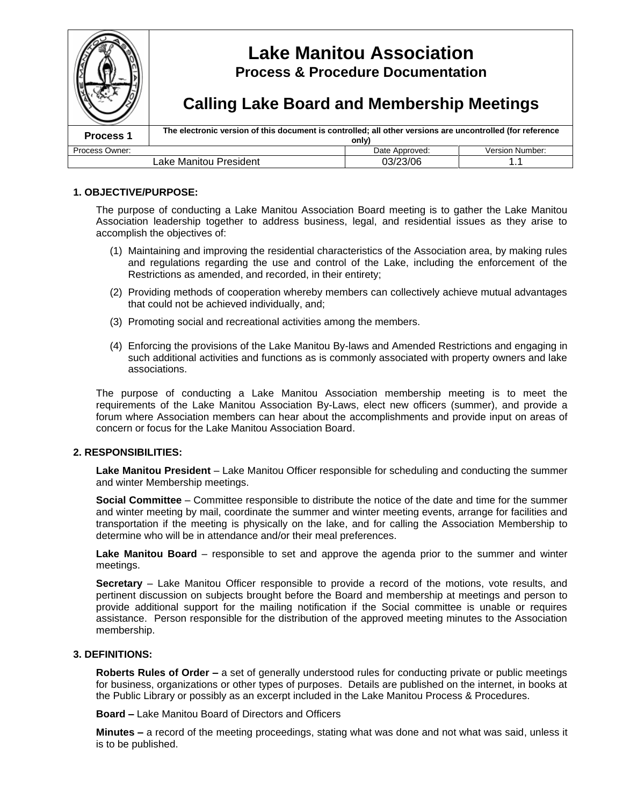

### **1. OBJECTIVE/PURPOSE:**

The purpose of conducting a Lake Manitou Association Board meeting is to gather the Lake Manitou Association leadership together to address business, legal, and residential issues as they arise to accomplish the objectives of:

- (1) Maintaining and improving the residential characteristics of the Association area, by making rules and regulations regarding the use and control of the Lake, including the enforcement of the Restrictions as amended, and recorded, in their entirety;
- (2) Providing methods of cooperation whereby members can collectively achieve mutual advantages that could not be achieved individually, and;
- (3) Promoting social and recreational activities among the members.
- (4) Enforcing the provisions of the Lake Manitou By-laws and Amended Restrictions and engaging in such additional activities and functions as is commonly associated with property owners and lake associations.

The purpose of conducting a Lake Manitou Association membership meeting is to meet the requirements of the Lake Manitou Association By-Laws, elect new officers (summer), and provide a forum where Association members can hear about the accomplishments and provide input on areas of concern or focus for the Lake Manitou Association Board.

### **2. RESPONSIBILITIES:**

**Lake Manitou President** –Lake Manitou Officer responsible for scheduling and conducting the summer and winter Membership meetings.

**Social Committee** –Committee responsible to distribute the notice of the date and time for the summer and winter meeting by mail, coordinate the summer and winter meeting events, arrange for facilities and transportation if the meeting is physically on the lake, and for calling the Association Membership to determine who will be in attendance and/or their meal preferences.

**Lake Manitou Board** – responsible to set and approve the agenda prior to the summer and winter meetings.

**Secretary** – Lake Manitou Officer responsible to provide a record of the motions, vote results, and pertinent discussion on subjects brought before the Board and membership at meetings and person to provide additional support for the mailing notification if the Social committee is unable or requires assistance. Person responsible for the distribution of the approved meeting minutes to the Association membership.

### **3. DEFINITIONS:**

**Roberts Rules of Order –**a set of generally understood rules for conducting private or public meetings for business, organizations or other types of purposes. Details are published on the internet, in books at the Public Library or possibly as an excerpt included in the Lake Manitou Process & Procedures.

**Board –**Lake Manitou Board of Directors and Officers

**Minutes –**a record of the meeting proceedings, stating what was done and not what was said, unless it is to be published.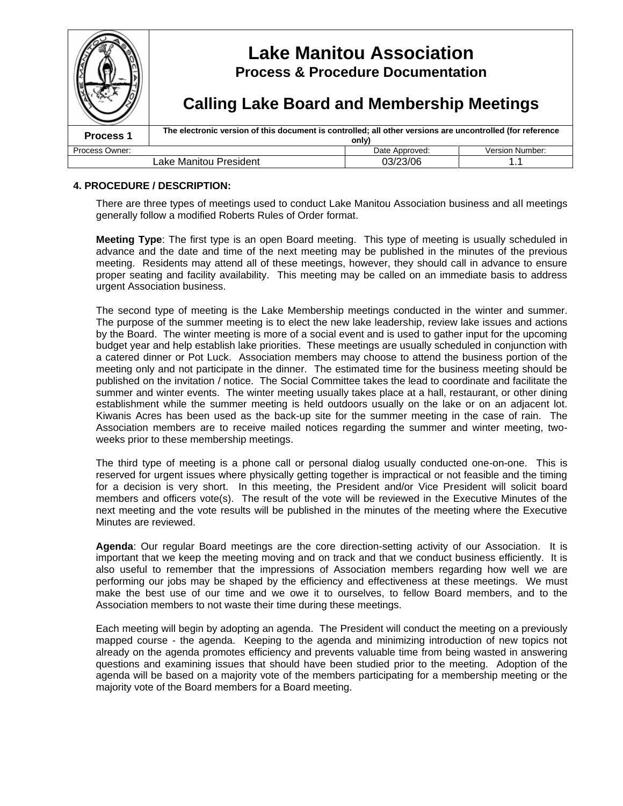|                      | <b>Lake Manitou Association</b><br><b>Process &amp; Procedure Documentation</b>                                    |                |                        |
|----------------------|--------------------------------------------------------------------------------------------------------------------|----------------|------------------------|
|                      | <b>Calling Lake Board and Membership Meetings</b>                                                                  |                |                        |
| Process <sub>1</sub> | The electronic version of this document is controlled; all other versions are uncontrolled (for reference<br>only) |                |                        |
| Process Owner:       |                                                                                                                    | Date Approved: | <b>Version Number:</b> |
|                      | Lake Manitou President                                                                                             | 03/23/06       |                        |

## **4. PROCEDURE / DESCRIPTION:**

There are three types of meetings used to conduct Lake Manitou Association business and all meetings generally follow a modified Roberts Rules of Order format.

**Meeting Type**: The first type is an open Board meeting. This type of meeting is usually scheduled in advance and the date and time of the next meeting may be published in the minutes of the previous meeting. Residents may attend all of these meetings, however, they should call in advance to ensure proper seating and facility availability. This meeting may be called on an immediate basis to address urgent Association business.

The second type of meeting is the Lake Membership meetings conducted in the winter and summer. The purpose of the summer meeting is to elect the new lake leadership, review lake issues and actions by the Board. The winter meeting is more of a social event and is used to gather input for the upcoming budget year and help establish lake priorities. These meetings are usually scheduled in conjunction with a catered dinner or Pot Luck. Association members may choose to attend the business portion of the meeting only and not participate in the dinner. The estimated time for the business meeting should be published on the invitation / notice. The Social Committee takes the lead to coordinate and facilitate the summer and winter events. The winter meeting usually takes place at a hall, restaurant, or other dining establishment while the summer meeting is held outdoors usually on the lake or on an adjacent lot. Kiwanis Acres has been used as the back-up site for the summer meeting in the case of rain. The Association members are to receive mailed notices regarding the summer and winter meeting, twoweeks prior to these membership meetings.

The third type of meeting is a phone call or personal dialog usually conducted one-on-one. This is reserved for urgent issues where physically getting together is impractical or not feasible and the timing for a decision is very short. In this meeting, the President and/or Vice President will solicit board members and officers vote(s). The result of the vote will be reviewed in the Executive Minutes of the next meeting and the vote results will be published in the minutes of the meeting where the Executive Minutes are reviewed.

**Agenda**: Our regular Board meetings are the core direction-setting activity of our Association. It is important that we keep the meeting moving and on track and that we conduct business efficiently. It is also useful to remember that the impressions of Association members regarding how well we are performing our jobs may be shaped by the efficiency and effectiveness at these meetings. We must make the best use of our time and we owe it to ourselves, to fellow Board members, and to the Association members to not waste their time during these meetings.

Each meeting will begin by adopting an agenda. The President will conduct the meeting on a previously mapped course - the agenda. Keeping to the agenda and minimizing introduction of new topics not already on the agenda promotes efficiency and prevents valuable time from being wasted in answering questions and examining issues that should have been studied prior to the meeting. Adoption of the agenda will be based on a majority vote of the members participating for a membership meeting or the majority vote of the Board members for a Board meeting.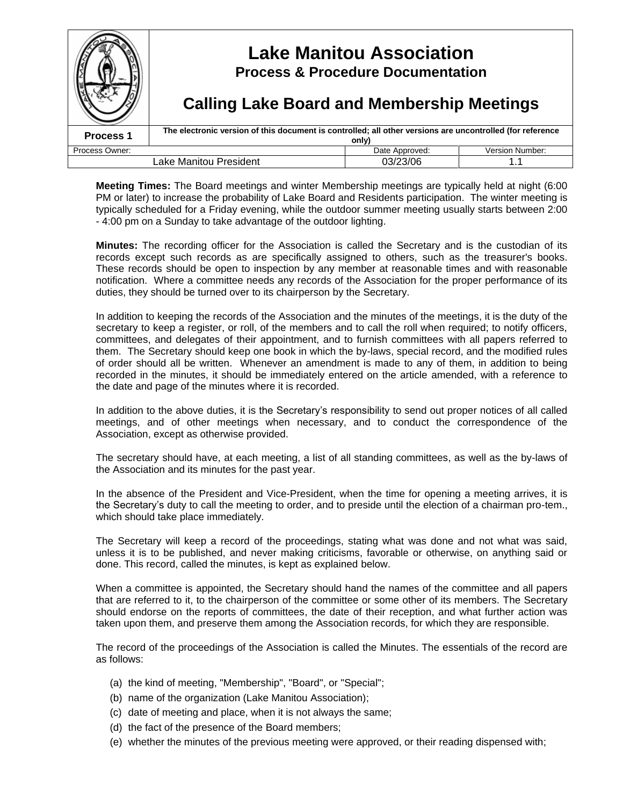|                      | <b>Lake Manitou Association</b><br><b>Process &amp; Procedure Documentation</b><br><b>Calling Lake Board and Membership Meetings</b> |                        |                        |  |
|----------------------|--------------------------------------------------------------------------------------------------------------------------------------|------------------------|------------------------|--|
| Process <sub>1</sub> | The electronic version of this document is controlled; all other versions are uncontrolled (for reference                            |                        |                        |  |
| Process Owner:       |                                                                                                                                      | only<br>Date Approved: | <b>Version Number:</b> |  |
|                      | Lake Manitou President                                                                                                               | 03/23/06               |                        |  |

**Meeting Times:** The Board meetings and winter Membership meetings are typically held at night (6:00 PM or later) to increase the probability of Lake Board and Residents participation. The winter meeting is typically scheduled for a Friday evening, while the outdoor summer meeting usually starts between 2:00 - 4:00 pm on a Sunday to take advantage of the outdoor lighting.

**Minutes:** The recording officer for the Association is called the Secretary and is the custodian of its records except such records as are specifically assigned to others, such as the treasurer's books. These records should be open to inspection by any member at reasonable times and with reasonable notification. Where a committee needs any records of the Association for the proper performance of its duties, they should be turned over to its chairperson by the Secretary.

In addition to keeping the records of the Association and the minutes of the meetings, it is the duty of the secretary to keep a register, or roll, of the members and to call the roll when required; to notify officers, committees, and delegates of their appointment, and to furnish committees with all papers referred to them. The Secretary should keep one book in which the by-laws, special record, and the modified rules of order should all be written. Whenever an amendment is made to any of them, in addition to being recorded in the minutes, it should be immediately entered on the article amended, with a reference to the date and page of the minutes where it is recorded.

In addition to the above duties, it is the Secretary's responsibility to send out proper notices of all called meetings, and of other meetings when necessary, and to conduct the correspondence of the Association, except as otherwise provided.

The secretary should have, at each meeting, a list of all standing committees, as well as the by-laws of the Association and its minutes for the past year.

In the absence of the President and Vice-President, when the time for opening a meeting arrives, it is the Secretary's duty to call the meeting to order, and to preside until the election of a chairman pro-tem., which should take place immediately.

The Secretary will keep a record of the proceedings, stating what was done and not what was said, unless it is to be published, and never making criticisms, favorable or otherwise, on anything said or done. This record, called the minutes, is kept as explained below.

When a committee is appointed, the Secretary should hand the names of the committee and all papers that are referred to it, to the chairperson of the committee or some other of its members. The Secretary should endorse on the reports of committees, the date of their reception, and what further action was taken upon them, and preserve them among the Association records, for which they are responsible.

The record of the proceedings of the Association is called the Minutes. The essentials of the record are as follows:

- (a) the kind of meeting, "Membership", "Board", or "Special";
- (b) name of the organization (Lake Manitou Association);
- (c) date of meeting and place, when it is not always the same;
- (d) the fact of the presence of the Board members;
- (e) whether the minutes of the previous meeting were approved, or their reading dispensed with;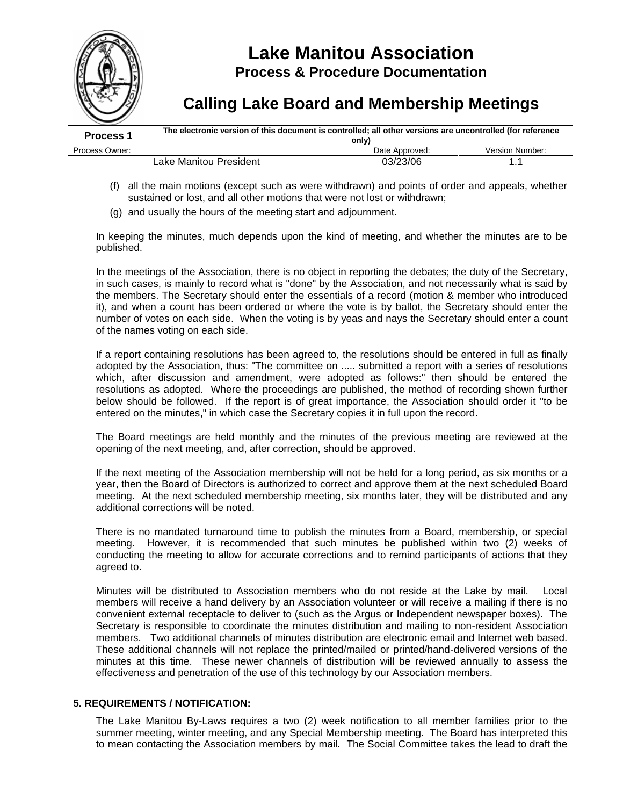

- (f) all the main motions (except such as were withdrawn) and points of order and appeals, whether sustained or lost, and all other motions that were not lost or withdrawn;
- (g) and usually the hours of the meeting start and adjournment.

In keeping the minutes, much depends upon the kind of meeting, and whether the minutes are to be published.

In the meetings of the Association, there is no object in reporting the debates; the duty of the Secretary, in such cases, is mainly to record what is "done" by the Association, and not necessarily what is said by the members. The Secretary should enter the essentials of a record (motion & member who introduced it), and when a count has been ordered or where the vote is by ballot, the Secretary should enter the number of votes on each side. When the voting is by yeas and nays the Secretary should enter a count of the names voting on each side.

If a report containing resolutions has been agreed to, the resolutions should be entered in full as finally adopted by the Association, thus: "The committee on ..... submitted a report with a series of resolutions which, after discussion and amendment, were adopted as follows:" then should be entered the resolutions as adopted. Where the proceedings are published, the method of recording shown further below should be followed. If the report is of great importance, the Association should order it "to be entered on the minutes," in which case the Secretary copies it in full upon the record.

The Board meetings are held monthly and the minutes of the previous meeting are reviewed at the opening of the next meeting, and, after correction, should be approved.

If the next meeting of the Association membership will not be held for a long period, as six months or a year, then the Board of Directors is authorized to correct and approve them at the next scheduled Board meeting. At the next scheduled membership meeting, six months later, they will be distributed and any additional corrections will be noted.

There is no mandated turnaround time to publish the minutes from a Board, membership, or special meeting. However, it is recommended that such minutes be published within two (2) weeks of conducting the meeting to allow for accurate corrections and to remind participants of actions that they agreed to.

Minutes will be distributed to Association members who do not reside at the Lake by mail. Local members will receive a hand delivery by an Association volunteer or will receive a mailing if there is no convenient external receptacle to deliver to (such as the Argus or Independent newspaper boxes). The Secretary is responsible to coordinate the minutes distribution and mailing to non-resident Association members. Two additional channels of minutes distribution are electronic email and Internet web based. These additional channels will not replace the printed/mailed or printed/hand-delivered versions of the minutes at this time. These newer channels of distribution will be reviewed annually to assess the effectiveness and penetration of the use of this technology by our Association members.

#### **5. REQUIREMENTS / NOTIFICATION:**

The Lake Manitou By-Laws requires a two (2) week notification to all member families prior to the summer meeting, winter meeting, and any Special Membership meeting. The Board has interpreted this to mean contacting the Association members by mail. The Social Committee takes the lead to draft the